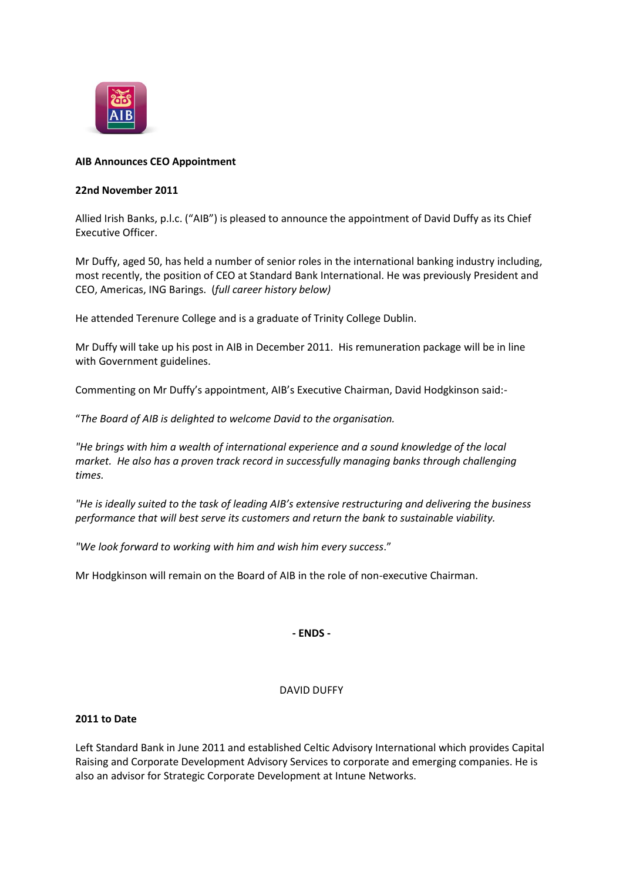

# **AIB Announces CEO Appointment**

## **22nd November 2011**

Allied Irish Banks, p.l.c. ("AIB") is pleased to announce the appointment of David Duffy as its Chief Executive Officer.

Mr Duffy, aged 50, has held a number of senior roles in the international banking industry including, most recently, the position of CEO at Standard Bank International. He was previously President and CEO, Americas, ING Barings. (*full career history below)*

He attended Terenure College and is a graduate of Trinity College Dublin.

Mr Duffy will take up his post in AIB in December 2011. His remuneration package will be in line with Government guidelines.

Commenting on Mr Duffy's appointment, AIB's Executive Chairman, David Hodgkinson said:-

"*The Board of AIB is delighted to welcome David to the organisation.*

*"He brings with him a wealth of international experience and a sound knowledge of the local market. He also has a proven track record in successfully managing banks through challenging times.*

*"He is ideally suited to the task of leading AIB's extensive restructuring and delivering the business performance that will best serve its customers and return the bank to sustainable viability.*

*"We look forward to working with him and wish him every success*."

Mr Hodgkinson will remain on the Board of AIB in the role of non-executive Chairman.

**- ENDS -**

## DAVID DUFFY

## **2011 to Date**

Left Standard Bank in June 2011 and established Celtic Advisory International which provides Capital Raising and Corporate Development Advisory Services to corporate and emerging companies. He is also an advisor for Strategic Corporate Development at Intune Networks.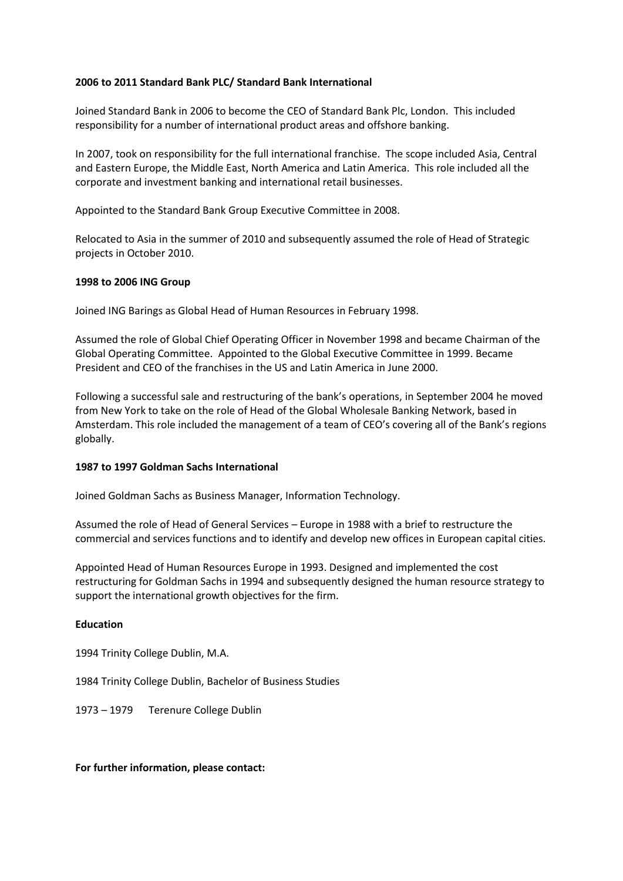## **2006 to 2011 Standard Bank PLC/ Standard Bank International**

Joined Standard Bank in 2006 to become the CEO of Standard Bank Plc, London. This included responsibility for a number of international product areas and offshore banking.

In 2007, took on responsibility for the full international franchise. The scope included Asia, Central and Eastern Europe, the Middle East, North America and Latin America. This role included all the corporate and investment banking and international retail businesses.

Appointed to the Standard Bank Group Executive Committee in 2008.

Relocated to Asia in the summer of 2010 and subsequently assumed the role of Head of Strategic projects in October 2010.

#### **1998 to 2006 ING Group**

Joined ING Barings as Global Head of Human Resources in February 1998.

Assumed the role of Global Chief Operating Officer in November 1998 and became Chairman of the Global Operating Committee. Appointed to the Global Executive Committee in 1999. Became President and CEO of the franchises in the US and Latin America in June 2000.

Following a successful sale and restructuring of the bank's operations, in September 2004 he moved from New York to take on the role of Head of the Global Wholesale Banking Network, based in Amsterdam. This role included the management of a team of CEO's covering all of the Bank's regions globally.

#### **1987 to 1997 Goldman Sachs International**

Joined Goldman Sachs as Business Manager, Information Technology.

Assumed the role of Head of General Services – Europe in 1988 with a brief to restructure the commercial and services functions and to identify and develop new offices in European capital cities.

Appointed Head of Human Resources Europe in 1993. Designed and implemented the cost restructuring for Goldman Sachs in 1994 and subsequently designed the human resource strategy to support the international growth objectives for the firm.

## **Education**

1994 Trinity College Dublin, M.A.

1984 Trinity College Dublin, Bachelor of Business Studies

1973 – 1979 Terenure College Dublin

#### **For further information, please contact:**